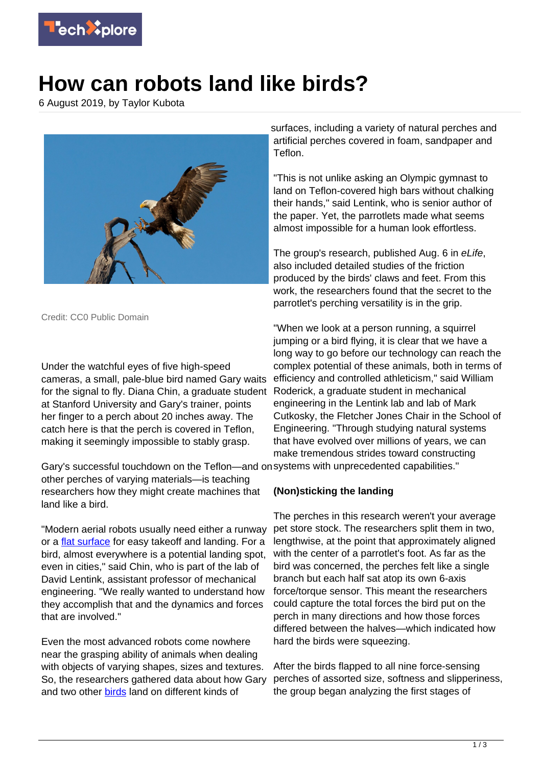

## **How can robots land like birds?**

6 August 2019, by Taylor Kubota



Credit: CC0 Public Domain

Under the watchful eyes of five high-speed cameras, a small, pale-blue bird named Gary waits for the signal to fly. Diana Chin, a graduate student at Stanford University and Gary's trainer, points her finger to a perch about 20 inches away. The catch here is that the perch is covered in Teflon, making it seemingly impossible to stably grasp.

Gary's successful touchdown on the Teflon—and on systems with unprecedented capabilities." other perches of varying materials—is teaching researchers how they might create machines that land like a bird.

"Modern aerial robots usually need either a runway or a *flat surface* for easy takeoff and landing. For a bird, almost everywhere is a potential landing spot, even in cities," said Chin, who is part of the lab of David Lentink, assistant professor of mechanical engineering. "We really wanted to understand how they accomplish that and the dynamics and forces that are involved."

Even the most advanced robots come nowhere near the grasping ability of animals when dealing with objects of varying shapes, sizes and textures. So, the researchers gathered data about how Gary and two other [birds](https://techxplore.com/tags/birds/) land on different kinds of

surfaces, including a variety of natural perches and artificial perches covered in foam, sandpaper and Teflon.

"This is not unlike asking an Olympic gymnast to land on Teflon-covered high bars without chalking their hands," said Lentink, who is senior author of the paper. Yet, the parrotlets made what seems almost impossible for a human look effortless.

The group's research, published Aug. 6 in eLife, also included detailed studies of the friction produced by the birds' claws and feet. From this work, the researchers found that the secret to the parrotlet's perching versatility is in the grip.

"When we look at a person running, a squirrel jumping or a bird flying, it is clear that we have a long way to go before our technology can reach the complex potential of these animals, both in terms of efficiency and controlled athleticism," said William Roderick, a graduate student in mechanical engineering in the Lentink lab and lab of Mark Cutkosky, the Fletcher Jones Chair in the School of Engineering. "Through studying natural systems that have evolved over millions of years, we can make tremendous strides toward constructing

## **(Non)sticking the landing**

The perches in this research weren't your average pet store stock. The researchers split them in two, lengthwise, at the point that approximately aligned with the center of a parrotlet's foot. As far as the bird was concerned, the perches felt like a single branch but each half sat atop its own 6-axis force/torque sensor. This meant the researchers could capture the total forces the bird put on the perch in many directions and how those forces differed between the halves—which indicated how hard the birds were squeezing.

After the birds flapped to all nine force-sensing perches of assorted size, softness and slipperiness, the group began analyzing the first stages of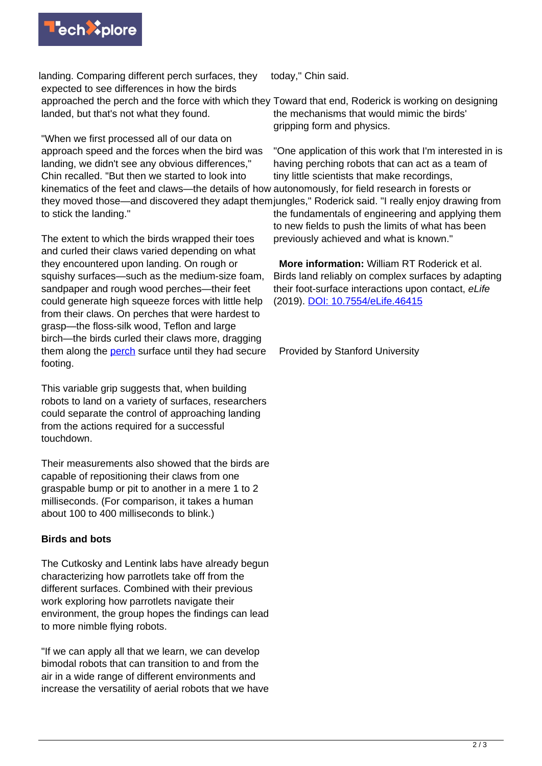

landing. Comparing different perch surfaces, they expected to see differences in how the birds approached the perch and the force with which they Toward that end, Roderick is working on designing landed, but that's not what they found.

"When we first processed all of our data on approach speed and the forces when the bird was landing, we didn't see any obvious differences," Chin recalled. "But then we started to look into kinematics of the feet and claws—the details of how autonomously, for field research in forests or to stick the landing."

The extent to which the birds wrapped their toes and curled their claws varied depending on what they encountered upon landing. On rough or squishy surfaces—such as the medium-size foam, sandpaper and rough wood perches—their feet could generate high squeeze forces with little help from their claws. On perches that were hardest to grasp—the floss-silk wood, Teflon and large birch—the birds curled their claws more, dragging them along the [perch](https://techxplore.com/tags/perch/) surface until they had secure footing.

This variable grip suggests that, when building robots to land on a variety of surfaces, researchers could separate the control of approaching landing from the actions required for a successful touchdown.

Their measurements also showed that the birds are capable of repositioning their claws from one graspable bump or pit to another in a mere 1 to 2 milliseconds. (For comparison, it takes a human about 100 to 400 milliseconds to blink.)

## **Birds and bots**

The Cutkosky and Lentink labs have already begun characterizing how parrotlets take off from the different surfaces. Combined with their previous work exploring how parrotlets navigate their environment, the group hopes the findings can lead to more nimble flying robots.

"If we can apply all that we learn, we can develop bimodal robots that can transition to and from the air in a wide range of different environments and increase the versatility of aerial robots that we have

today," Chin said.

the mechanisms that would mimic the birds' gripping form and physics.

they moved those—and discovered they adapt them jungles," Roderick said. "I really enjoy drawing from "One application of this work that I'm interested in is having perching robots that can act as a team of tiny little scientists that make recordings, the fundamentals of engineering and applying them to new fields to push the limits of what has been previously achieved and what is known."

> **More information:** William RT Roderick et al. Birds land reliably on complex surfaces by adapting their foot-surface interactions upon contact, eLife (2019). [DOI: 10.7554/eLife.46415](http://dx.doi.org/10.7554/eLife.46415)

Provided by Stanford University